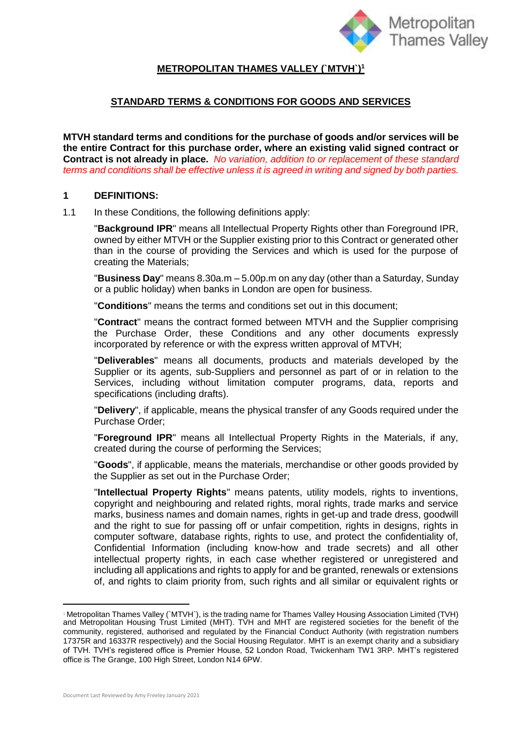

# **METROPOLITAN THAMES VALLEY (`MTVH`)<sup>1</sup>**

## **STANDARD TERMS & CONDITIONS FOR GOODS AND SERVICES**

**MTVH standard terms and conditions for the purchase of goods and/or services will be the entire Contract for this purchase order, where an existing valid signed contract or Contract is not already in place.** *No variation, addition to or replacement of these standard terms and conditions shall be effective unless it is agreed in writing and signed by both parties.*

#### **1 DEFINITIONS:**

1.1 In these Conditions, the following definitions apply:

"**Background IPR**" means all Intellectual Property Rights other than Foreground IPR, owned by either MTVH or the Supplier existing prior to this Contract or generated other than in the course of providing the Services and which is used for the purpose of creating the Materials;

"**Business Day**" means 8.30a.m – 5.00p.m on any day (other than a Saturday, Sunday or a public holiday) when banks in London are open for business.

"**Conditions**" means the terms and conditions set out in this document;

"**Contract**" means the contract formed between MTVH and the Supplier comprising the Purchase Order, these Conditions and any other documents expressly incorporated by reference or with the express written approval of MTVH;

"**Deliverables**" means all documents, products and materials developed by the Supplier or its agents, sub-Suppliers and personnel as part of or in relation to the Services, including without limitation computer programs, data, reports and specifications (including drafts).

"**Delivery**", if applicable, means the physical transfer of any Goods required under the Purchase Order;

"**Foreground IPR**" means all Intellectual Property Rights in the Materials, if any, created during the course of performing the Services;

"**Goods**", if applicable, means the materials, merchandise or other goods provided by the Supplier as set out in the Purchase Order;

"**Intellectual Property Rights**" means patents, utility models, rights to inventions, copyright and neighbouring and related rights, moral rights, trade marks and service marks, business names and domain names, rights in get-up and trade dress, goodwill and the right to sue for passing off or unfair competition, rights in designs, rights in computer software, database rights, rights to use, and protect the confidentiality of, Confidential Information (including know-how and trade secrets) and all other intellectual property rights, in each case whether registered or unregistered and including all applications and rights to apply for and be granted, renewals or extensions of, and rights to claim priority from, such rights and all similar or equivalent rights or

<sup>1</sup> Metropolitan Thames Valley (`MTVH`), is the trading name for Thames Valley Housing Association Limited (TVH) and Metropolitan Housing Trust Limited (MHT). TVH and MHT are registered societies for the benefit of the community, registered, authorised and regulated by the Financial Conduct Authority (with registration numbers 17375R and 16337R respectively) and the Social Housing Regulator. MHT is an exempt charity and a subsidiary of TVH. TVH's registered office is Premier House, 52 London Road, Twickenham TW1 3RP. MHT's registered office is The Grange, 100 High Street, London N14 6PW.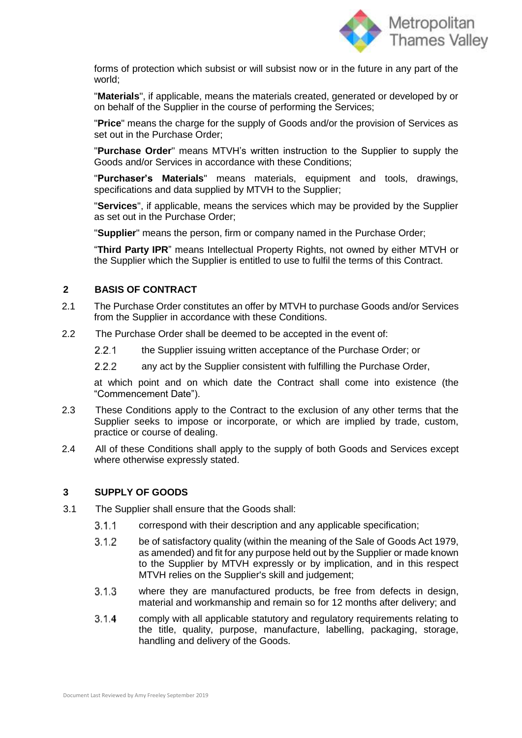

forms of protection which subsist or will subsist now or in the future in any part of the world;

"**Materials**", if applicable, means the materials created, generated or developed by or on behalf of the Supplier in the course of performing the Services;

"**Price**" means the charge for the supply of Goods and/or the provision of Services as set out in the Purchase Order;

"**Purchase Order**" means MTVH's written instruction to the Supplier to supply the Goods and/or Services in accordance with these Conditions;

"**Purchaser's Materials**" means materials, equipment and tools, drawings, specifications and data supplied by MTVH to the Supplier;

"**Services**", if applicable, means the services which may be provided by the Supplier as set out in the Purchase Order;

"**Supplier**" means the person, firm or company named in the Purchase Order;

"**Third Party IPR**" means Intellectual Property Rights, not owned by either MTVH or the Supplier which the Supplier is entitled to use to fulfil the terms of this Contract.

## **2 BASIS OF CONTRACT**

- 2.1 The Purchase Order constitutes an offer by MTVH to purchase Goods and/or Services from the Supplier in accordance with these Conditions.
- 2.2 The Purchase Order shall be deemed to be accepted in the event of:
	- $221$ the Supplier issuing written acceptance of the Purchase Order; or
	- $2.2.2$ any act by the Supplier consistent with fulfilling the Purchase Order,

at which point and on which date the Contract shall come into existence (the "Commencement Date").

- 2.3 These Conditions apply to the Contract to the exclusion of any other terms that the Supplier seeks to impose or incorporate, or which are implied by trade, custom, practice or course of dealing.
- 2.4 All of these Conditions shall apply to the supply of both Goods and Services except where otherwise expressly stated.

#### **3 SUPPLY OF GOODS**

- 3.1 The Supplier shall ensure that the Goods shall:
	- $3.1.1$ correspond with their description and any applicable specification;
	- $3.1.2$ be of satisfactory quality (within the meaning of the Sale of Goods Act 1979, as amended) and fit for any purpose held out by the Supplier or made known to the Supplier by MTVH expressly or by implication, and in this respect MTVH relies on the Supplier's skill and judgement;
	- $3.1.3$ where they are manufactured products, be free from defects in design, material and workmanship and remain so for 12 months after delivery; and
	- $3.1.4$ comply with all applicable statutory and regulatory requirements relating to the title, quality, purpose, manufacture, labelling, packaging, storage, handling and delivery of the Goods.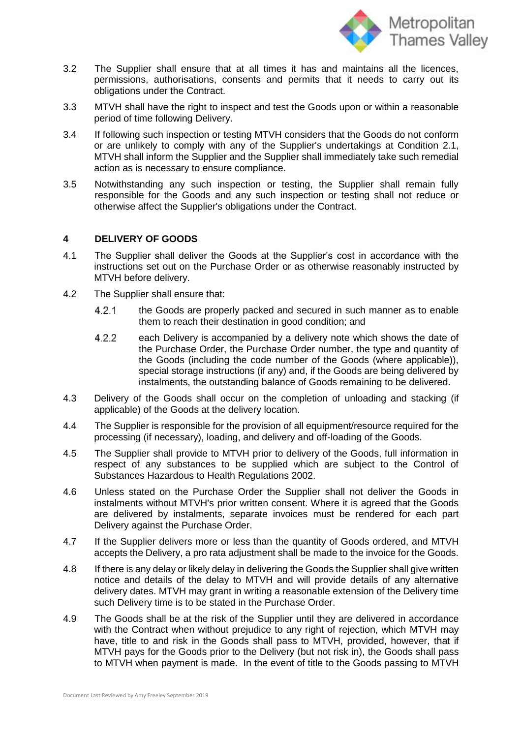

- 3.2 The Supplier shall ensure that at all times it has and maintains all the licences, permissions, authorisations, consents and permits that it needs to carry out its obligations under the Contract.
- 3.3 MTVH shall have the right to inspect and test the Goods upon or within a reasonable period of time following Delivery.
- 3.4 If following such inspection or testing MTVH considers that the Goods do not conform or are unlikely to comply with any of the Supplier's undertakings at Condition 2.1, MTVH shall inform the Supplier and the Supplier shall immediately take such remedial action as is necessary to ensure compliance.
- 3.5 Notwithstanding any such inspection or testing, the Supplier shall remain fully responsible for the Goods and any such inspection or testing shall not reduce or otherwise affect the Supplier's obligations under the Contract.

### **4 DELIVERY OF GOODS**

- 4.1 The Supplier shall deliver the Goods at the Supplier's cost in accordance with the instructions set out on the Purchase Order or as otherwise reasonably instructed by MTVH before delivery.
- 4.2 The Supplier shall ensure that:
	- 4.2.1 the Goods are properly packed and secured in such manner as to enable them to reach their destination in good condition; and
	- $4.2.2$ each Delivery is accompanied by a delivery note which shows the date of the Purchase Order, the Purchase Order number, the type and quantity of the Goods (including the code number of the Goods (where applicable)), special storage instructions (if any) and, if the Goods are being delivered by instalments, the outstanding balance of Goods remaining to be delivered.
- 4.3 Delivery of the Goods shall occur on the completion of unloading and stacking (if applicable) of the Goods at the delivery location.
- 4.4 The Supplier is responsible for the provision of all equipment/resource required for the processing (if necessary), loading, and delivery and off-loading of the Goods.
- 4.5 The Supplier shall provide to MTVH prior to delivery of the Goods, full information in respect of any substances to be supplied which are subject to the Control of Substances Hazardous to Health Regulations 2002.
- 4.6 Unless stated on the Purchase Order the Supplier shall not deliver the Goods in instalments without MTVH's prior written consent. Where it is agreed that the Goods are delivered by instalments, separate invoices must be rendered for each part Delivery against the Purchase Order.
- 4.7 If the Supplier delivers more or less than the quantity of Goods ordered, and MTVH accepts the Delivery, a pro rata adjustment shall be made to the invoice for the Goods.
- 4.8 If there is any delay or likely delay in delivering the Goods the Supplier shall give written notice and details of the delay to MTVH and will provide details of any alternative delivery dates. MTVH may grant in writing a reasonable extension of the Delivery time such Delivery time is to be stated in the Purchase Order.
- 4.9 The Goods shall be at the risk of the Supplier until they are delivered in accordance with the Contract when without prejudice to any right of rejection, which MTVH may have, title to and risk in the Goods shall pass to MTVH, provided, however, that if MTVH pays for the Goods prior to the Delivery (but not risk in), the Goods shall pass to MTVH when payment is made. In the event of title to the Goods passing to MTVH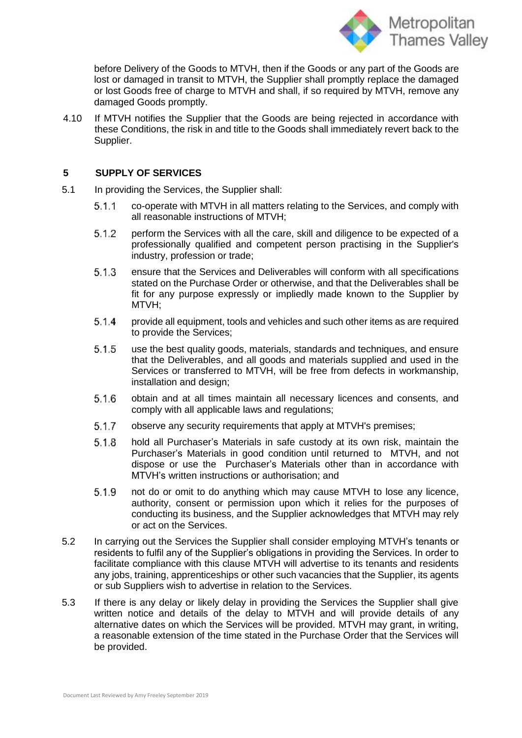

before Delivery of the Goods to MTVH, then if the Goods or any part of the Goods are lost or damaged in transit to MTVH, the Supplier shall promptly replace the damaged or lost Goods free of charge to MTVH and shall, if so required by MTVH, remove any damaged Goods promptly.

4.10 If MTVH notifies the Supplier that the Goods are being rejected in accordance with these Conditions, the risk in and title to the Goods shall immediately revert back to the Supplier.

### **5 SUPPLY OF SERVICES**

- 5.1 In providing the Services, the Supplier shall:
	- $5.1.1$ co-operate with MTVH in all matters relating to the Services, and comply with all reasonable instructions of MTVH;
	- $5.1.2$ perform the Services with all the care, skill and diligence to be expected of a professionally qualified and competent person practising in the Supplier's industry, profession or trade;
	- 5.1.3 ensure that the Services and Deliverables will conform with all specifications stated on the Purchase Order or otherwise, and that the Deliverables shall be fit for any purpose expressly or impliedly made known to the Supplier by MTVH;
	- $5.1.4$ provide all equipment, tools and vehicles and such other items as are required to provide the Services;
	- $5.1.5$ use the best quality goods, materials, standards and techniques, and ensure that the Deliverables, and all goods and materials supplied and used in the Services or transferred to MTVH, will be free from defects in workmanship, installation and design;
	- 5.1.6 obtain and at all times maintain all necessary licences and consents, and comply with all applicable laws and regulations;
	- $5.1.7$ observe any security requirements that apply at MTVH's premises;
	- $5.1.8$ hold all Purchaser's Materials in safe custody at its own risk, maintain the Purchaser's Materials in good condition until returned to MTVH, and not dispose or use the Purchaser's Materials other than in accordance with MTVH's written instructions or authorisation; and
	- not do or omit to do anything which may cause MTVH to lose any licence, 5.1.9 authority, consent or permission upon which it relies for the purposes of conducting its business, and the Supplier acknowledges that MTVH may rely or act on the Services.
- 5.2 In carrying out the Services the Supplier shall consider employing MTVH's tenants or residents to fulfil any of the Supplier's obligations in providing the Services. In order to facilitate compliance with this clause MTVH will advertise to its tenants and residents any jobs, training, apprenticeships or other such vacancies that the Supplier, its agents or sub Suppliers wish to advertise in relation to the Services.
- 5.3 If there is any delay or likely delay in providing the Services the Supplier shall give written notice and details of the delay to MTVH and will provide details of any alternative dates on which the Services will be provided. MTVH may grant, in writing, a reasonable extension of the time stated in the Purchase Order that the Services will be provided.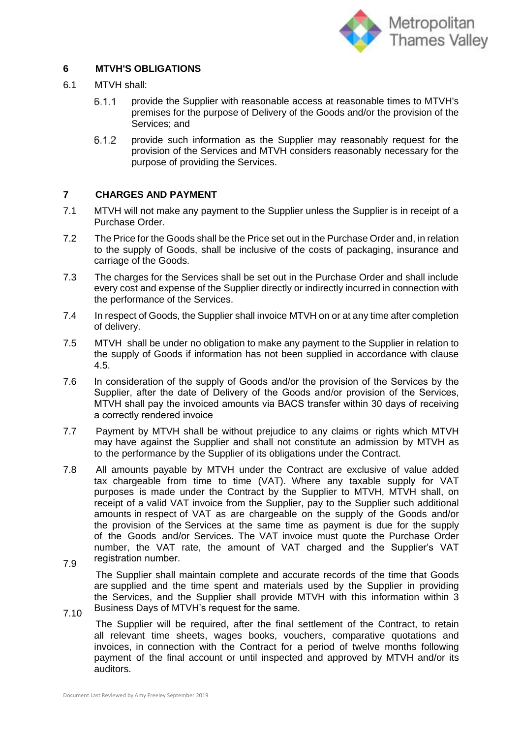

# **6 MTVH'S OBLIGATIONS**

- 6.1 MTVH shall:
	- $6.1.1$ provide the Supplier with reasonable access at reasonable times to MTVH's premises for the purpose of Delivery of the Goods and/or the provision of the Services; and
	- $6.1.2$ provide such information as the Supplier may reasonably request for the provision of the Services and MTVH considers reasonably necessary for the purpose of providing the Services.

#### **7 CHARGES AND PAYMENT**

- 7.1 MTVH will not make any payment to the Supplier unless the Supplier is in receipt of a Purchase Order.
- 7.2 The Price for the Goods shall be the Price set out in the Purchase Order and, in relation to the supply of Goods, shall be inclusive of the costs of packaging, insurance and carriage of the Goods.
- 7.3 The charges for the Services shall be set out in the Purchase Order and shall include every cost and expense of the Supplier directly or indirectly incurred in connection with the performance of the Services.
- 7.4 In respect of Goods, the Supplier shall invoice MTVH on or at any time after completion of delivery.
- 7.5 MTVH shall be under no obligation to make any payment to the Supplier in relation to the supply of Goods if information has not been supplied in accordance with clause 4.5.
- 7.6 In consideration of the supply of Goods and/or the provision of the Services by the Supplier, after the date of Delivery of the Goods and/or provision of the Services, MTVH shall pay the invoiced amounts via BACS transfer within 30 days of receiving a correctly rendered invoice
- 7.7 Payment by MTVH shall be without prejudice to any claims or rights which MTVH may have against the Supplier and shall not constitute an admission by MTVH as to the performance by the Supplier of its obligations under the Contract.
- 7.8 7.9 All amounts payable by MTVH under the Contract are exclusive of value added tax chargeable from time to time (VAT). Where any taxable supply for VAT purposes is made under the Contract by the Supplier to MTVH, MTVH shall, on receipt of a valid VAT invoice from the Supplier, pay to the Supplier such additional amounts in respect of VAT as are chargeable on the supply of the Goods and/or the provision of the Services at the same time as payment is due for the supply of the Goods and/or Services. The VAT invoice must quote the Purchase Order number, the VAT rate, the amount of VAT charged and the Supplier's VAT registration number.
	- The Supplier shall maintain complete and accurate records of the time that Goods are supplied and the time spent and materials used by the Supplier in providing the Services, and the Supplier shall provide MTVH with this information within 3 Business Days of MTVH's request for the same.
- 7.10

The Supplier will be required, after the final settlement of the Contract, to retain all relevant time sheets, wages books, vouchers, comparative quotations and invoices, in connection with the Contract for a period of twelve months following payment of the final account or until inspected and approved by MTVH and/or its auditors.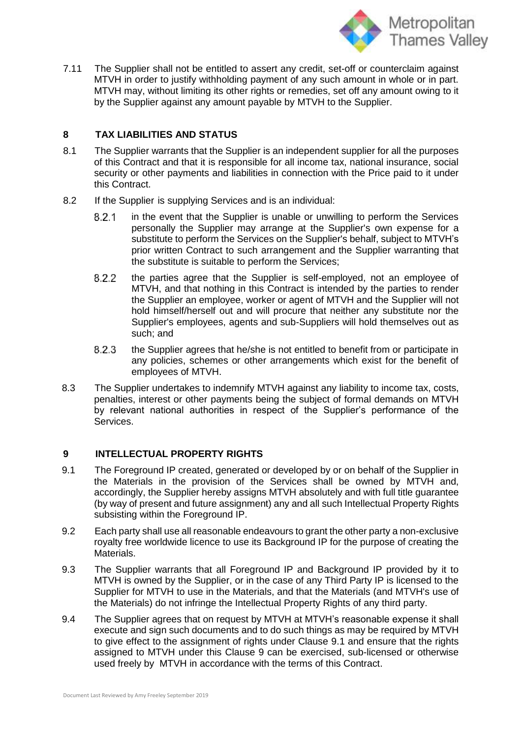

7.11 The Supplier shall not be entitled to assert any credit, set-off or counterclaim against MTVH in order to justify withholding payment of any such amount in whole or in part. MTVH may, without limiting its other rights or remedies, set off any amount owing to it by the Supplier against any amount payable by MTVH to the Supplier.

# **8 TAX LIABILITIES AND STATUS**

- 8.1 The Supplier warrants that the Supplier is an independent supplier for all the purposes of this Contract and that it is responsible for all income tax, national insurance, social security or other payments and liabilities in connection with the Price paid to it under this Contract.
- 8.2 If the Supplier is supplying Services and is an individual:
	- in the event that the Supplier is unable or unwilling to perform the Services  $8.2.1$ personally the Supplier may arrange at the Supplier's own expense for a substitute to perform the Services on the Supplier's behalf, subject to MTVH's prior written Contract to such arrangement and the Supplier warranting that the substitute is suitable to perform the Services;
	- 8.2.2 the parties agree that the Supplier is self-employed, not an employee of MTVH, and that nothing in this Contract is intended by the parties to render the Supplier an employee, worker or agent of MTVH and the Supplier will not hold himself/herself out and will procure that neither any substitute nor the Supplier's employees, agents and sub-Suppliers will hold themselves out as such; and
	- 8.2.3 the Supplier agrees that he/she is not entitled to benefit from or participate in any policies, schemes or other arrangements which exist for the benefit of employees of MTVH.
- 8.3 The Supplier undertakes to indemnify MTVH against any liability to income tax, costs, penalties, interest or other payments being the subject of formal demands on MTVH by relevant national authorities in respect of the Supplier's performance of the Services.

## **9 INTELLECTUAL PROPERTY RIGHTS**

- 9.1 The Foreground IP created, generated or developed by or on behalf of the Supplier in the Materials in the provision of the Services shall be owned by MTVH and, accordingly, the Supplier hereby assigns MTVH absolutely and with full title guarantee (by way of present and future assignment) any and all such Intellectual Property Rights subsisting within the Foreground IP.
- 9.2 Each party shall use all reasonable endeavours to grant the other party a non-exclusive royalty free worldwide licence to use its Background IP for the purpose of creating the Materials.
- 9.3 The Supplier warrants that all Foreground IP and Background IP provided by it to MTVH is owned by the Supplier, or in the case of any Third Party IP is licensed to the Supplier for MTVH to use in the Materials, and that the Materials (and MTVH's use of the Materials) do not infringe the Intellectual Property Rights of any third party.
- 9.4 The Supplier agrees that on request by MTVH at MTVH's reasonable expense it shall execute and sign such documents and to do such things as may be required by MTVH to give effect to the assignment of rights under Clause 9.1 and ensure that the rights assigned to MTVH under this Clause 9 can be exercised, sub-licensed or otherwise used freely by MTVH in accordance with the terms of this Contract.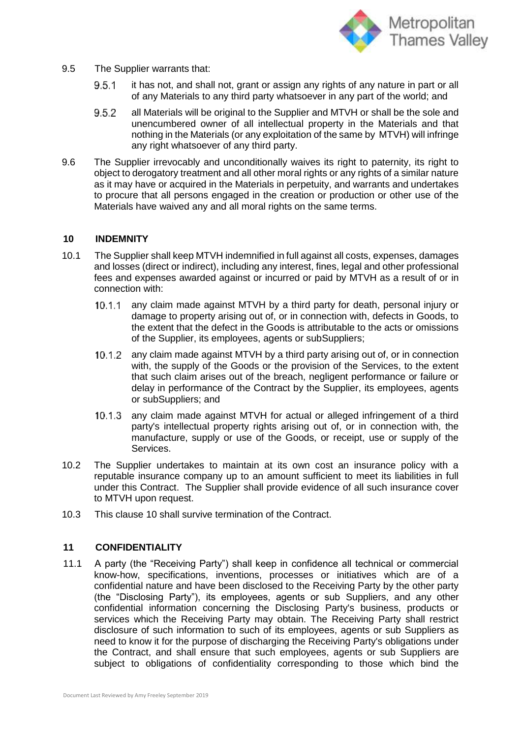

- 9.5 The Supplier warrants that:
	- $9.5.1$ it has not, and shall not, grant or assign any rights of any nature in part or all of any Materials to any third party whatsoever in any part of the world; and
	- 9.5.2 all Materials will be original to the Supplier and MTVH or shall be the sole and unencumbered owner of all intellectual property in the Materials and that nothing in the Materials (or any exploitation of the same by MTVH) will infringe any right whatsoever of any third party.
- 9.6 The Supplier irrevocably and unconditionally waives its right to paternity, its right to object to derogatory treatment and all other moral rights or any rights of a similar nature as it may have or acquired in the Materials in perpetuity, and warrants and undertakes to procure that all persons engaged in the creation or production or other use of the Materials have waived any and all moral rights on the same terms.

#### **10 INDEMNITY**

- 10.1 The Supplier shall keep MTVH indemnified in full against all costs, expenses, damages and losses (direct or indirect), including any interest, fines, legal and other professional fees and expenses awarded against or incurred or paid by MTVH as a result of or in connection with:
	- 10.1.1 any claim made against MTVH by a third party for death, personal injury or damage to property arising out of, or in connection with, defects in Goods, to the extent that the defect in the Goods is attributable to the acts or omissions of the Supplier, its employees, agents or subSuppliers;
	- any claim made against MTVH by a third party arising out of, or in connection  $10.1.2$ with, the supply of the Goods or the provision of the Services, to the extent that such claim arises out of the breach, negligent performance or failure or delay in performance of the Contract by the Supplier, its employees, agents or subSuppliers; and
	- $10.1.3$ any claim made against MTVH for actual or alleged infringement of a third party's intellectual property rights arising out of, or in connection with, the manufacture, supply or use of the Goods, or receipt, use or supply of the Services.
- 10.2 The Supplier undertakes to maintain at its own cost an insurance policy with a reputable insurance company up to an amount sufficient to meet its liabilities in full under this Contract. The Supplier shall provide evidence of all such insurance cover to MTVH upon request.
- 10.3 This clause 10 shall survive termination of the Contract.

#### **11 CONFIDENTIALITY**

11.1 A party (the "Receiving Party") shall keep in confidence all technical or commercial know-how, specifications, inventions, processes or initiatives which are of a confidential nature and have been disclosed to the Receiving Party by the other party (the "Disclosing Party"), its employees, agents or sub Suppliers, and any other confidential information concerning the Disclosing Party's business, products or services which the Receiving Party may obtain. The Receiving Party shall restrict disclosure of such information to such of its employees, agents or sub Suppliers as need to know it for the purpose of discharging the Receiving Party's obligations under the Contract, and shall ensure that such employees, agents or sub Suppliers are subject to obligations of confidentiality corresponding to those which bind the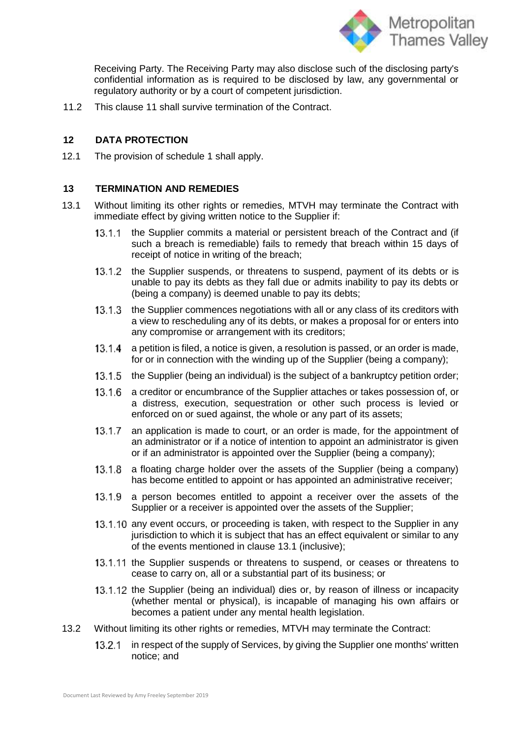

Receiving Party. The Receiving Party may also disclose such of the disclosing party's confidential information as is required to be disclosed by law, any governmental or regulatory authority or by a court of competent jurisdiction.

11.2 This clause 11 shall survive termination of the Contract.

# **12 DATA PROTECTION**

12.1 The provision of schedule 1 shall apply.

### **13 TERMINATION AND REMEDIES**

- 13.1 Without limiting its other rights or remedies, MTVH may terminate the Contract with immediate effect by giving written notice to the Supplier if:
	- the Supplier commits a material or persistent breach of the Contract and (if  $13.1.1$ such a breach is remediable) fails to remedy that breach within 15 days of receipt of notice in writing of the breach;
	- the Supplier suspends, or threatens to suspend, payment of its debts or is  $13.1.2$ unable to pay its debts as they fall due or admits inability to pay its debts or (being a company) is deemed unable to pay its debts;
	- the Supplier commences negotiations with all or any class of its creditors with  $13.1.3$ a view to rescheduling any of its debts, or makes a proposal for or enters into any compromise or arrangement with its creditors;
	- 13.1.4 a petition is filed, a notice is given, a resolution is passed, or an order is made, for or in connection with the winding up of the Supplier (being a company);
	- 13.1.5 the Supplier (being an individual) is the subject of a bankruptcy petition order;
	- $13.16$ a creditor or encumbrance of the Supplier attaches or takes possession of, or a distress, execution, sequestration or other such process is levied or enforced on or sued against, the whole or any part of its assets;
	- an application is made to court, or an order is made, for the appointment of  $13.1.7$ an administrator or if a notice of intention to appoint an administrator is given or if an administrator is appointed over the Supplier (being a company);
	- $13.1.8$ a floating charge holder over the assets of the Supplier (being a company) has become entitled to appoint or has appointed an administrative receiver;
	- $13.1.9$ a person becomes entitled to appoint a receiver over the assets of the Supplier or a receiver is appointed over the assets of the Supplier;
	- 13.1.10 any event occurs, or proceeding is taken, with respect to the Supplier in any jurisdiction to which it is subject that has an effect equivalent or similar to any of the events mentioned in clause 13.1 (inclusive);
	- 13.1.11 the Supplier suspends or threatens to suspend, or ceases or threatens to cease to carry on, all or a substantial part of its business; or
	- 13.1.12 the Supplier (being an individual) dies or, by reason of illness or incapacity (whether mental or physical), is incapable of managing his own affairs or becomes a patient under any mental health legislation.
- 13.2 Without limiting its other rights or remedies, MTVH may terminate the Contract:
	- in respect of the supply of Services, by giving the Supplier one months' written  $13.2.1$ notice; and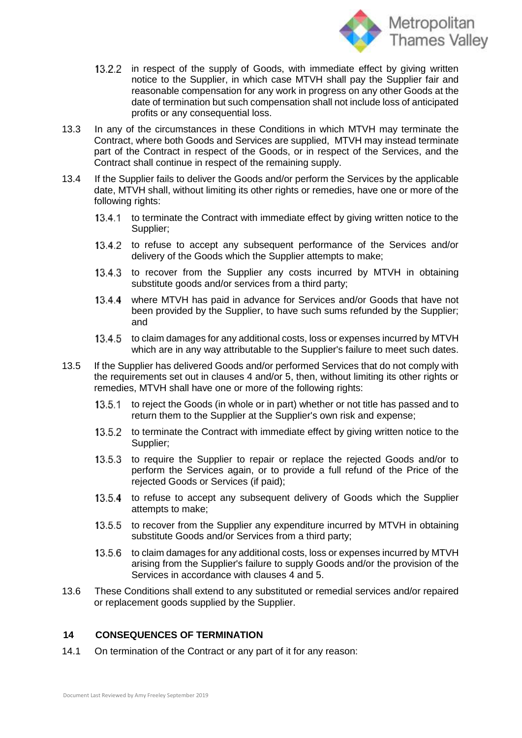

- in respect of the supply of Goods, with immediate effect by giving written 13.2.2 notice to the Supplier, in which case MTVH shall pay the Supplier fair and reasonable compensation for any work in progress on any other Goods at the date of termination but such compensation shall not include loss of anticipated profits or any consequential loss.
- 13.3 In any of the circumstances in these Conditions in which MTVH may terminate the Contract, where both Goods and Services are supplied, MTVH may instead terminate part of the Contract in respect of the Goods, or in respect of the Services, and the Contract shall continue in respect of the remaining supply.
- 13.4 If the Supplier fails to deliver the Goods and/or perform the Services by the applicable date, MTVH shall, without limiting its other rights or remedies, have one or more of the following rights:
	- $13.4.1$ to terminate the Contract with immediate effect by giving written notice to the Supplier;
	- 13.4.2 to refuse to accept any subsequent performance of the Services and/or delivery of the Goods which the Supplier attempts to make;
	- $13.4.3$ to recover from the Supplier any costs incurred by MTVH in obtaining substitute goods and/or services from a third party;
	- where MTVH has paid in advance for Services and/or Goods that have not  $13.4.4$ been provided by the Supplier, to have such sums refunded by the Supplier; and
	- to claim damages for any additional costs, loss or expenses incurred by MTVH  $13.4.5$ which are in any way attributable to the Supplier's failure to meet such dates.
- 13.5 If the Supplier has delivered Goods and/or performed Services that do not comply with the requirements set out in clauses 4 and/or 5, then, without limiting its other rights or remedies, MTVH shall have one or more of the following rights:
	- to reject the Goods (in whole or in part) whether or not title has passed and to  $13.5.1$ return them to the Supplier at the Supplier's own risk and expense;
	- $13.5.2$ to terminate the Contract with immediate effect by giving written notice to the Supplier;
	- $13.5.3$ to require the Supplier to repair or replace the rejected Goods and/or to perform the Services again, or to provide a full refund of the Price of the rejected Goods or Services (if paid);
	- to refuse to accept any subsequent delivery of Goods which the Supplier  $13.5.4$ attempts to make;
	- to recover from the Supplier any expenditure incurred by MTVH in obtaining  $13.5.5$ substitute Goods and/or Services from a third party;
	- $13.5.6$ to claim damages for any additional costs, loss or expenses incurred by MTVH arising from the Supplier's failure to supply Goods and/or the provision of the Services in accordance with clauses 4 and 5.
- 13.6 These Conditions shall extend to any substituted or remedial services and/or repaired or replacement goods supplied by the Supplier.

## **14 CONSEQUENCES OF TERMINATION**

14.1 On termination of the Contract or any part of it for any reason: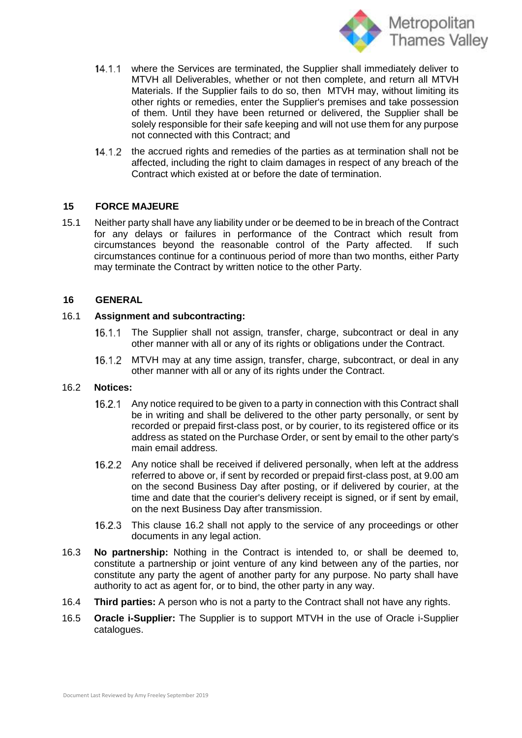

- 14.1.1 where the Services are terminated, the Supplier shall immediately deliver to MTVH all Deliverables, whether or not then complete, and return all MTVH Materials. If the Supplier fails to do so, then MTVH may, without limiting its other rights or remedies, enter the Supplier's premises and take possession of them. Until they have been returned or delivered, the Supplier shall be solely responsible for their safe keeping and will not use them for any purpose not connected with this Contract; and
- $14.1.2$ the accrued rights and remedies of the parties as at termination shall not be affected, including the right to claim damages in respect of any breach of the Contract which existed at or before the date of termination.

### **15 FORCE MAJEURE**

15.1 Neither party shall have any liability under or be deemed to be in breach of the Contract for any delays or failures in performance of the Contract which result from circumstances beyond the reasonable control of the Party affected. If such circumstances continue for a continuous period of more than two months, either Party may terminate the Contract by written notice to the other Party.

### **16 GENERAL**

### 16.1 **Assignment and subcontracting:**

- $16.1.1$ The Supplier shall not assign, transfer, charge, subcontract or deal in any other manner with all or any of its rights or obligations under the Contract.
- MTVH may at any time assign, transfer, charge, subcontract, or deal in any  $16.1.2$ other manner with all or any of its rights under the Contract.

#### 16.2 **Notices:**

- 16.2.1 Any notice required to be given to a party in connection with this Contract shall be in writing and shall be delivered to the other party personally, or sent by recorded or prepaid first-class post, or by courier, to its registered office or its address as stated on the Purchase Order, or sent by email to the other party's main email address.
- 16.2.2 Any notice shall be received if delivered personally, when left at the address referred to above or, if sent by recorded or prepaid first-class post, at 9.00 am on the second Business Day after posting, or if delivered by courier, at the time and date that the courier's delivery receipt is signed, or if sent by email, on the next Business Day after transmission.
- $16.2.3$ This clause 16.2 shall not apply to the service of any proceedings or other documents in any legal action.
- 16.3 **No partnership:** Nothing in the Contract is intended to, or shall be deemed to, constitute a partnership or joint venture of any kind between any of the parties, nor constitute any party the agent of another party for any purpose. No party shall have authority to act as agent for, or to bind, the other party in any way.
- 16.4 **Third parties:** A person who is not a party to the Contract shall not have any rights.
- 16.5 **Oracle i-Supplier:** The Supplier is to support MTVH in the use of Oracle i-Supplier catalogues.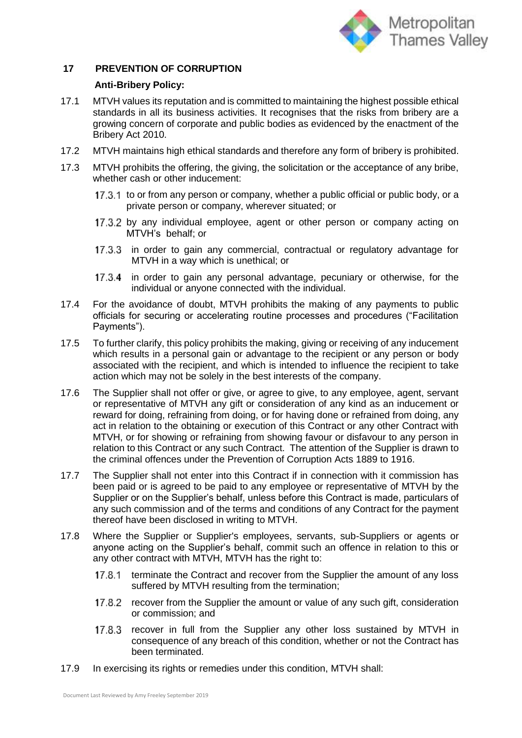

# **17 PREVENTION OF CORRUPTION**

### **Anti-Bribery Policy:**

- 17.1 MTVH values its reputation and is committed to maintaining the highest possible ethical standards in all its business activities. It recognises that the risks from bribery are a growing concern of corporate and public bodies as evidenced by the enactment of the Bribery Act 2010.
- 17.2 MTVH maintains high ethical standards and therefore any form of bribery is prohibited.
- 17.3 MTVH prohibits the offering, the giving, the solicitation or the acceptance of any bribe, whether cash or other inducement:
	- 17.3.1 to or from any person or company, whether a public official or public body, or a private person or company, wherever situated; or
	- 17.3.2 by any individual employee, agent or other person or company acting on MTVH's behalf; or
	- 17.3.3 in order to gain any commercial, contractual or regulatory advantage for MTVH in a way which is unethical; or
	- in order to gain any personal advantage, pecuniary or otherwise, for the  $17.3.4$ individual or anyone connected with the individual.
- 17.4 For the avoidance of doubt, MTVH prohibits the making of any payments to public officials for securing or accelerating routine processes and procedures ("Facilitation Payments").
- 17.5 To further clarify, this policy prohibits the making, giving or receiving of any inducement which results in a personal gain or advantage to the recipient or any person or body associated with the recipient, and which is intended to influence the recipient to take action which may not be solely in the best interests of the company.
- 17.6 The Supplier shall not offer or give, or agree to give, to any employee, agent, servant or representative of MTVH any gift or consideration of any kind as an inducement or reward for doing, refraining from doing, or for having done or refrained from doing, any act in relation to the obtaining or execution of this Contract or any other Contract with MTVH, or for showing or refraining from showing favour or disfavour to any person in relation to this Contract or any such Contract. The attention of the Supplier is drawn to the criminal offences under the Prevention of Corruption Acts 1889 to 1916.
- 17.7 The Supplier shall not enter into this Contract if in connection with it commission has been paid or is agreed to be paid to any employee or representative of MTVH by the Supplier or on the Supplier's behalf, unless before this Contract is made, particulars of any such commission and of the terms and conditions of any Contract for the payment thereof have been disclosed in writing to MTVH.
- 17.8 Where the Supplier or Supplier's employees, servants, sub-Suppliers or agents or anyone acting on the Supplier's behalf, commit such an offence in relation to this or any other contract with MTVH, MTVH has the right to:
	- 17.8.1 terminate the Contract and recover from the Supplier the amount of any loss suffered by MTVH resulting from the termination;
	- 17.8.2 recover from the Supplier the amount or value of any such gift, consideration or commission; and
	- $17.8.3$ recover in full from the Supplier any other loss sustained by MTVH in consequence of any breach of this condition, whether or not the Contract has been terminated.
- 17.9 In exercising its rights or remedies under this condition, MTVH shall: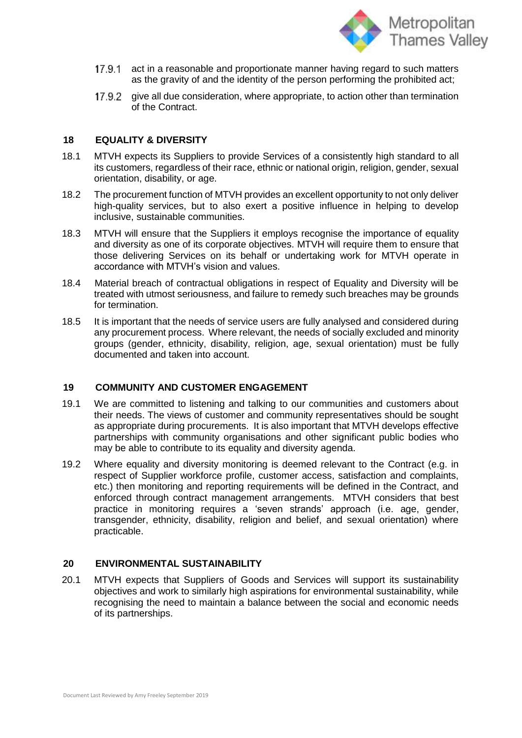

- 17.9.1 act in a reasonable and proportionate manner having regard to such matters as the gravity of and the identity of the person performing the prohibited act;
- 17.9.2 give all due consideration, where appropriate, to action other than termination of the Contract.

#### **18 EQUALITY & DIVERSITY**

- 18.1 MTVH expects its Suppliers to provide Services of a consistently high standard to all its customers, regardless of their race, ethnic or national origin, religion, gender, sexual orientation, disability, or age.
- 18.2 The procurement function of MTVH provides an excellent opportunity to not only deliver high-quality services, but to also exert a positive influence in helping to develop inclusive, sustainable communities.
- 18.3 MTVH will ensure that the Suppliers it employs recognise the importance of equality and diversity as one of its corporate objectives. MTVH will require them to ensure that those delivering Services on its behalf or undertaking work for MTVH operate in accordance with MTVH's vision and values.
- 18.4 Material breach of contractual obligations in respect of Equality and Diversity will be treated with utmost seriousness, and failure to remedy such breaches may be grounds for termination.
- 18.5 It is important that the needs of service users are fully analysed and considered during any procurement process. Where relevant, the needs of socially excluded and minority groups (gender, ethnicity, disability, religion, age, sexual orientation) must be fully documented and taken into account.

## **19 COMMUNITY AND CUSTOMER ENGAGEMENT**

- 19.1 We are committed to listening and talking to our communities and customers about their needs. The views of customer and community representatives should be sought as appropriate during procurements. It is also important that MTVH develops effective partnerships with community organisations and other significant public bodies who may be able to contribute to its equality and diversity agenda.
- 19.2 Where equality and diversity monitoring is deemed relevant to the Contract (e.g. in respect of Supplier workforce profile, customer access, satisfaction and complaints, etc.) then monitoring and reporting requirements will be defined in the Contract, and enforced through contract management arrangements. MTVH considers that best practice in monitoring requires a 'seven strands' approach (i.e. age, gender, transgender, ethnicity, disability, religion and belief, and sexual orientation) where practicable.

#### **20 ENVIRONMENTAL SUSTAINABILITY**

20.1 MTVH expects that Suppliers of Goods and Services will support its sustainability objectives and work to similarly high aspirations for environmental sustainability, while recognising the need to maintain a balance between the social and economic needs of its partnerships.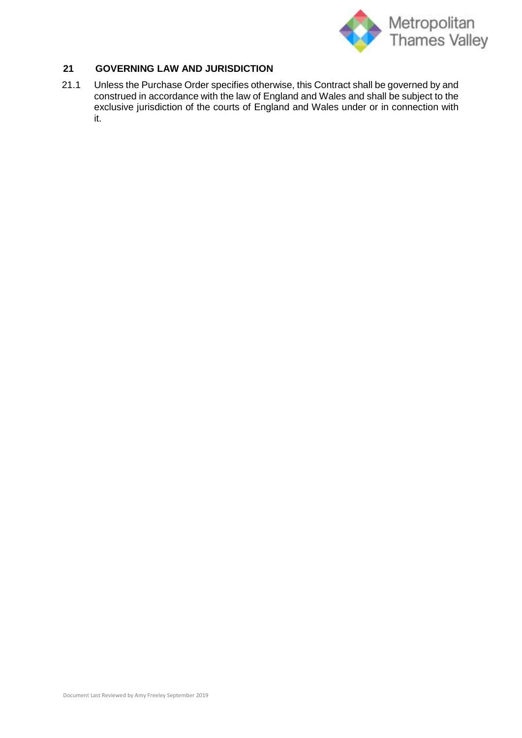

# **21 GOVERNING LAW AND JURISDICTION**

21.1 Unless the Purchase Order specifies otherwise, this Contract shall be governed by and construed in accordance with the law of England and Wales and shall be subject to the exclusive jurisdiction of the courts of England and Wales under or in connection with it.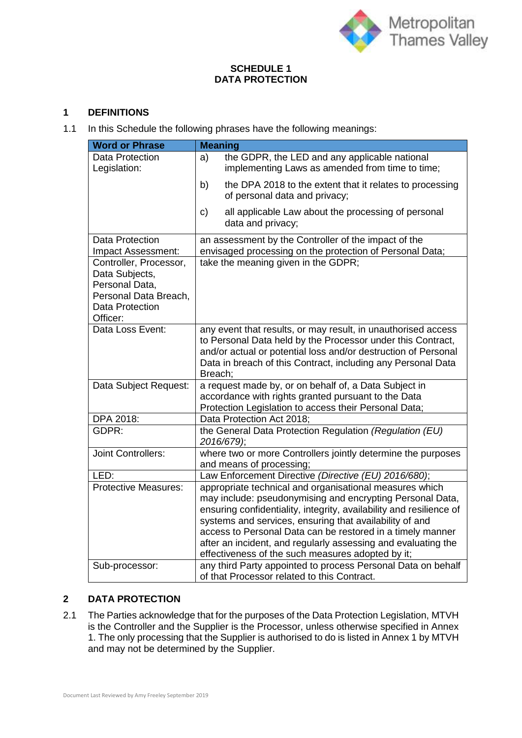

## **SCHEDULE 1 DATA PROTECTION**

# **1 DEFINITIONS**

<span id="page-13-0"></span>1.1 In this Schedule the following phrases have the following meanings:

| <b>Word or Phrase</b>                                                                                                     | <b>Meaning</b>                                                                                                                                                                                                                                                                                                                                                                                                                             |
|---------------------------------------------------------------------------------------------------------------------------|--------------------------------------------------------------------------------------------------------------------------------------------------------------------------------------------------------------------------------------------------------------------------------------------------------------------------------------------------------------------------------------------------------------------------------------------|
| <b>Data Protection</b><br>Legislation:                                                                                    | the GDPR, the LED and any applicable national<br>a)<br>implementing Laws as amended from time to time;                                                                                                                                                                                                                                                                                                                                     |
|                                                                                                                           | b)<br>the DPA 2018 to the extent that it relates to processing<br>of personal data and privacy;                                                                                                                                                                                                                                                                                                                                            |
|                                                                                                                           | all applicable Law about the processing of personal<br>c)<br>data and privacy;                                                                                                                                                                                                                                                                                                                                                             |
| <b>Data Protection</b><br>Impact Assessment:                                                                              | an assessment by the Controller of the impact of the<br>envisaged processing on the protection of Personal Data;                                                                                                                                                                                                                                                                                                                           |
| Controller, Processor,<br>Data Subjects,<br>Personal Data,<br>Personal Data Breach,<br><b>Data Protection</b><br>Officer: | take the meaning given in the GDPR;                                                                                                                                                                                                                                                                                                                                                                                                        |
| Data Loss Event:                                                                                                          | any event that results, or may result, in unauthorised access<br>to Personal Data held by the Processor under this Contract,<br>and/or actual or potential loss and/or destruction of Personal<br>Data in breach of this Contract, including any Personal Data<br>Breach;                                                                                                                                                                  |
| Data Subject Request:                                                                                                     | a request made by, or on behalf of, a Data Subject in<br>accordance with rights granted pursuant to the Data<br>Protection Legislation to access their Personal Data;                                                                                                                                                                                                                                                                      |
| DPA 2018:                                                                                                                 | Data Protection Act 2018;                                                                                                                                                                                                                                                                                                                                                                                                                  |
| GDPR:                                                                                                                     | the General Data Protection Regulation (Regulation (EU)<br>2016/679);                                                                                                                                                                                                                                                                                                                                                                      |
| <b>Joint Controllers:</b>                                                                                                 | where two or more Controllers jointly determine the purposes<br>and means of processing;                                                                                                                                                                                                                                                                                                                                                   |
| LED:                                                                                                                      | Law Enforcement Directive (Directive (EU) 2016/680);                                                                                                                                                                                                                                                                                                                                                                                       |
| <b>Protective Measures:</b>                                                                                               | appropriate technical and organisational measures which<br>may include: pseudonymising and encrypting Personal Data,<br>ensuring confidentiality, integrity, availability and resilience of<br>systems and services, ensuring that availability of and<br>access to Personal Data can be restored in a timely manner<br>after an incident, and regularly assessing and evaluating the<br>effectiveness of the such measures adopted by it; |
| Sub-processor:                                                                                                            | any third Party appointed to process Personal Data on behalf<br>of that Processor related to this Contract.                                                                                                                                                                                                                                                                                                                                |

# **2 DATA PROTECTION**

2.1 The Parties acknowledge that for the purposes of the Data Protection Legislation, MTVH is the Controller and the Supplier is the Processor, unless otherwise specified in Annex 1. The only processing that the Supplier is authorised to do is listed in Annex 1 by MTVH and may not be determined by the Supplier.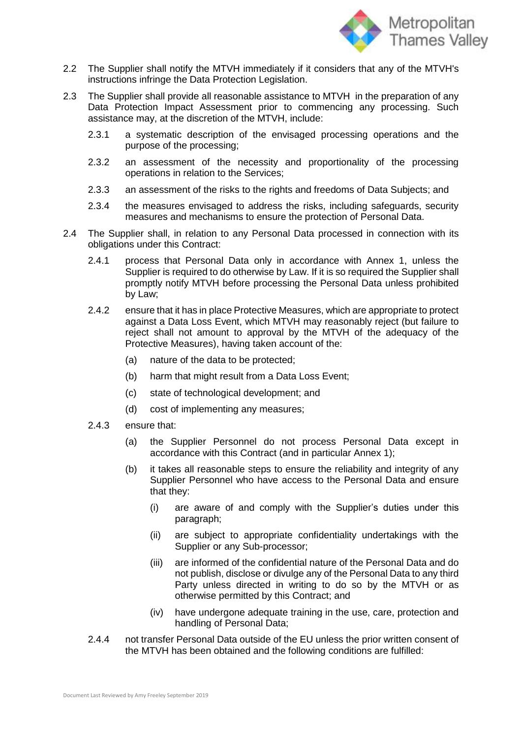

- 2.2 The Supplier shall notify the MTVH immediately if it considers that any of the MTVH's instructions infringe the Data Protection Legislation.
- 2.3 The Supplier shall provide all reasonable assistance to MTVH in the preparation of any Data Protection Impact Assessment prior to commencing any processing. Such assistance may, at the discretion of the MTVH, include:
	- 2.3.1 a systematic description of the envisaged processing operations and the purpose of the processing;
	- 2.3.2 an assessment of the necessity and proportionality of the processing operations in relation to the Services;
	- 2.3.3 an assessment of the risks to the rights and freedoms of Data Subjects; and
	- 2.3.4 the measures envisaged to address the risks, including safeguards, security measures and mechanisms to ensure the protection of Personal Data.
- 2.4 The Supplier shall, in relation to any Personal Data processed in connection with its obligations under this Contract:
	- 2.4.1 process that Personal Data only in accordance with Annex 1, unless the Supplier is required to do otherwise by Law. If it is so required the Supplier shall promptly notify MTVH before processing the Personal Data unless prohibited by Law;
	- 2.4.2 ensure that it has in place Protective Measures, which are appropriate to protect against a Data Loss Event, which MTVH may reasonably reject (but failure to reject shall not amount to approval by the MTVH of the adequacy of the Protective Measures), having taken account of the:
		- (a) nature of the data to be protected;
		- (b) harm that might result from a Data Loss Event;
		- (c) state of technological development; and
		- (d) cost of implementing any measures;
	- 2.4.3 ensure that:
		- (a) the Supplier Personnel do not process Personal Data except in accordance with this Contract (and in particular Annex 1);
		- (b) it takes all reasonable steps to ensure the reliability and integrity of any Supplier Personnel who have access to the Personal Data and ensure that they:
			- (i) are aware of and comply with the Supplier's duties under this paragraph;
			- (ii) are subject to appropriate confidentiality undertakings with the Supplier or any Sub-processor;
			- (iii) are informed of the confidential nature of the Personal Data and do not publish, disclose or divulge any of the Personal Data to any third Party unless directed in writing to do so by the MTVH or as otherwise permitted by this Contract; and
			- (iv) have undergone adequate training in the use, care, protection and handling of Personal Data;
	- 2.4.4 not transfer Personal Data outside of the EU unless the prior written consent of the MTVH has been obtained and the following conditions are fulfilled: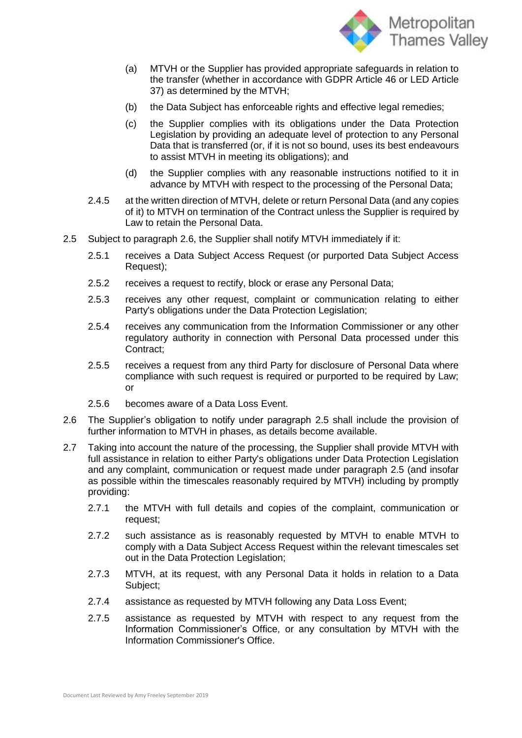

- (a) MTVH or the Supplier has provided appropriate safeguards in relation to the transfer (whether in accordance with GDPR Article 46 or LED Article 37) as determined by the MTVH;
- (b) the Data Subject has enforceable rights and effective legal remedies;
- (c) the Supplier complies with its obligations under the Data Protection Legislation by providing an adequate level of protection to any Personal Data that is transferred (or, if it is not so bound, uses its best endeavours to assist MTVH in meeting its obligations); and
- (d) the Supplier complies with any reasonable instructions notified to it in advance by MTVH with respect to the processing of the Personal Data;
- 2.4.5 at the written direction of MTVH, delete or return Personal Data (and any copies of it) to MTVH on termination of the Contract unless the Supplier is required by Law to retain the Personal Data.
- <span id="page-15-1"></span>2.5 Subject to paragraph [2.6,](#page-15-0) the Supplier shall notify MTVH immediately if it:
	- 2.5.1 receives a Data Subject Access Request (or purported Data Subject Access Request);
	- 2.5.2 receives a request to rectify, block or erase any Personal Data;
	- 2.5.3 receives any other request, complaint or communication relating to either Party's obligations under the Data Protection Legislation;
	- 2.5.4 receives any communication from the Information Commissioner or any other regulatory authority in connection with Personal Data processed under this Contract;
	- 2.5.5 receives a request from any third Party for disclosure of Personal Data where compliance with such request is required or purported to be required by Law; or
	- 2.5.6 becomes aware of a Data Loss Event.
- <span id="page-15-0"></span>2.6 The Supplier's obligation to notify under paragraph [2.5](#page-15-1) shall include the provision of further information to MTVH in phases, as details become available.
- 2.7 Taking into account the nature of the processing, the Supplier shall provide MTVH with full assistance in relation to either Party's obligations under Data Protection Legislation and any complaint, communication or request made under paragraph [2.5](#page-15-1) (and insofar as possible within the timescales reasonably required by MTVH) including by promptly providing:
	- 2.7.1 the MTVH with full details and copies of the complaint, communication or request;
	- 2.7.2 such assistance as is reasonably requested by MTVH to enable MTVH to comply with a Data Subject Access Request within the relevant timescales set out in the Data Protection Legislation;
	- 2.7.3 MTVH, at its request, with any Personal Data it holds in relation to a Data Subject;
	- 2.7.4 assistance as requested by MTVH following any Data Loss Event;
	- 2.7.5 assistance as requested by MTVH with respect to any request from the Information Commissioner's Office, or any consultation by MTVH with the Information Commissioner's Office.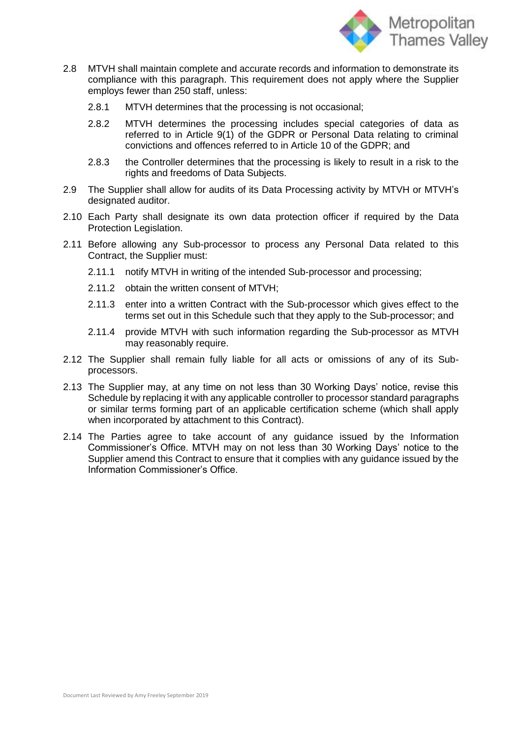

- 2.8 MTVH shall maintain complete and accurate records and information to demonstrate its compliance with this paragraph. This requirement does not apply where the Supplier employs fewer than 250 staff, unless:
	- 2.8.1 MTVH determines that the processing is not occasional;
	- 2.8.2 MTVH determines the processing includes special categories of data as referred to in Article 9(1) of the GDPR or Personal Data relating to criminal convictions and offences referred to in Article 10 of the GDPR; and
	- 2.8.3 the Controller determines that the processing is likely to result in a risk to the rights and freedoms of Data Subjects.
- 2.9 The Supplier shall allow for audits of its Data Processing activity by MTVH or MTVH's designated auditor.
- 2.10 Each Party shall designate its own data protection officer if required by the Data Protection Legislation.
- 2.11 Before allowing any Sub-processor to process any Personal Data related to this Contract, the Supplier must:
	- 2.11.1 notify MTVH in writing of the intended Sub-processor and processing;
	- 2.11.2 obtain the written consent of MTVH;
	- 2.11.3 enter into a written Contract with the Sub-processor which gives effect to the terms set out in this Schedule such that they apply to the Sub-processor; and
	- 2.11.4 provide MTVH with such information regarding the Sub-processor as MTVH may reasonably require.
- 2.12 The Supplier shall remain fully liable for all acts or omissions of any of its Subprocessors.
- 2.13 The Supplier may, at any time on not less than 30 Working Days' notice, revise this Schedule by replacing it with any applicable controller to processor standard paragraphs or similar terms forming part of an applicable certification scheme (which shall apply when incorporated by attachment to this Contract).
- 2.14 The Parties agree to take account of any guidance issued by the Information Commissioner's Office. MTVH may on not less than 30 Working Days' notice to the Supplier amend this Contract to ensure that it complies with any guidance issued by the Information Commissioner's Office.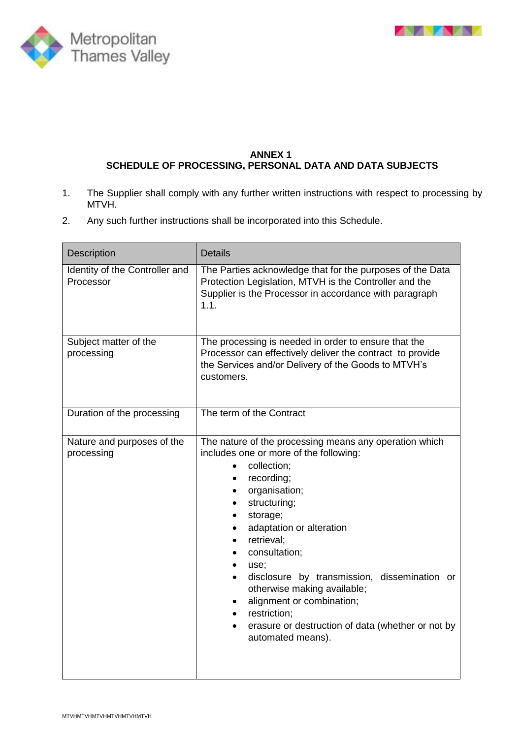



## **ANNEX 1 SCHEDULE OF PROCESSING, PERSONAL DATA AND DATA SUBJECTS**

- 1. The Supplier shall comply with any further written instructions with respect to processing by MTVH.
- 2. Any such further instructions shall be incorporated into this Schedule.

| Description                                 | <b>Details</b>                                                                                                                                                                                                                                                                                                                                                                                                                                                   |
|---------------------------------------------|------------------------------------------------------------------------------------------------------------------------------------------------------------------------------------------------------------------------------------------------------------------------------------------------------------------------------------------------------------------------------------------------------------------------------------------------------------------|
| Identity of the Controller and<br>Processor | The Parties acknowledge that for the purposes of the Data<br>Protection Legislation, MTVH is the Controller and the<br>Supplier is the Processor in accordance with paragraph<br>1.1.                                                                                                                                                                                                                                                                            |
| Subject matter of the<br>processing         | The processing is needed in order to ensure that the<br>Processor can effectively deliver the contract to provide<br>the Services and/or Delivery of the Goods to MTVH's<br>customers.                                                                                                                                                                                                                                                                           |
| Duration of the processing                  | The term of the Contract                                                                                                                                                                                                                                                                                                                                                                                                                                         |
| Nature and purposes of the<br>processing    | The nature of the processing means any operation which<br>includes one or more of the following:<br>collection;<br>$\bullet$<br>recording;<br>organisation;<br>structuring;<br>storage;<br>adaptation or alteration<br>retrieval;<br>consultation;<br>use;<br>disclosure by transmission, dissemination or<br>otherwise making available;<br>alignment or combination;<br>restriction;<br>erasure or destruction of data (whether or not by<br>automated means). |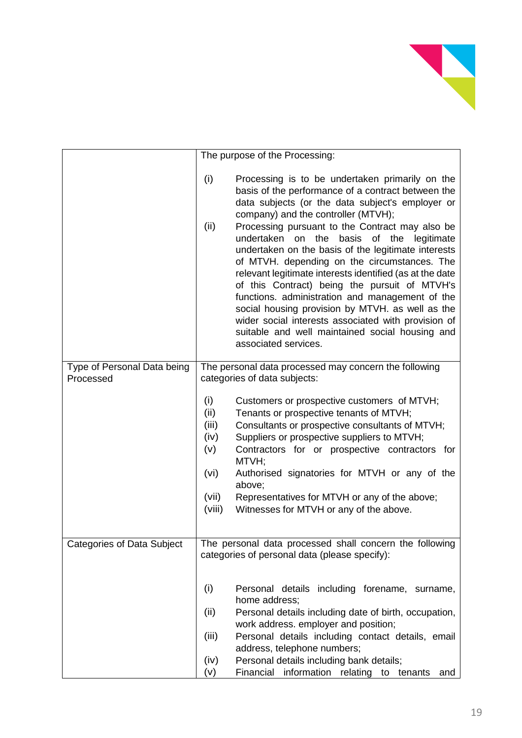

|                             | The purpose of the Processing:                                                                                                                                                                                                                                                                                                                                                                                                                                                                                                                                                                                                                                                                                                                                                        |
|-----------------------------|---------------------------------------------------------------------------------------------------------------------------------------------------------------------------------------------------------------------------------------------------------------------------------------------------------------------------------------------------------------------------------------------------------------------------------------------------------------------------------------------------------------------------------------------------------------------------------------------------------------------------------------------------------------------------------------------------------------------------------------------------------------------------------------|
|                             |                                                                                                                                                                                                                                                                                                                                                                                                                                                                                                                                                                                                                                                                                                                                                                                       |
|                             | (i)<br>Processing is to be undertaken primarily on the<br>basis of the performance of a contract between the<br>data subjects (or the data subject's employer or<br>company) and the controller (MTVH);<br>(ii)<br>Processing pursuant to the Contract may also be<br>undertaken on the<br>basis<br>of the<br>legitimate<br>undertaken on the basis of the legitimate interests<br>of MTVH. depending on the circumstances. The<br>relevant legitimate interests identified (as at the date<br>of this Contract) being the pursuit of MTVH's<br>functions. administration and management of the<br>social housing provision by MTVH. as well as the<br>wider social interests associated with provision of<br>suitable and well maintained social housing and<br>associated services. |
| Type of Personal Data being | The personal data processed may concern the following                                                                                                                                                                                                                                                                                                                                                                                                                                                                                                                                                                                                                                                                                                                                 |
| Processed                   | categories of data subjects:                                                                                                                                                                                                                                                                                                                                                                                                                                                                                                                                                                                                                                                                                                                                                          |
|                             | (i)<br>Customers or prospective customers of MTVH;<br>(ii)<br>Tenants or prospective tenants of MTVH;<br>(iii)<br>Consultants or prospective consultants of MTVH;<br>Suppliers or prospective suppliers to MTVH;<br>(iv)<br>(v)<br>Contractors for or prospective contractors for<br>MTVH;<br>(vi)<br>Authorised signatories for MTVH or any of the<br>above;<br>(vii)<br>Representatives for MTVH or any of the above;<br>(viii)<br>Witnesses for MTVH or any of the above.                                                                                                                                                                                                                                                                                                          |
| Categories of Data Subject  | The personal data processed shall concern the following                                                                                                                                                                                                                                                                                                                                                                                                                                                                                                                                                                                                                                                                                                                               |
|                             | categories of personal data (please specify):<br>(i)<br>Personal details including forename, surname,<br>home address;<br>Personal details including date of birth, occupation,<br>(ii)<br>work address. employer and position;<br>Personal details including contact details, email<br>(iii)<br>address, telephone numbers;<br>Personal details including bank details;<br>(iv)<br>(v)<br>Financial information relating to tenants<br>and                                                                                                                                                                                                                                                                                                                                           |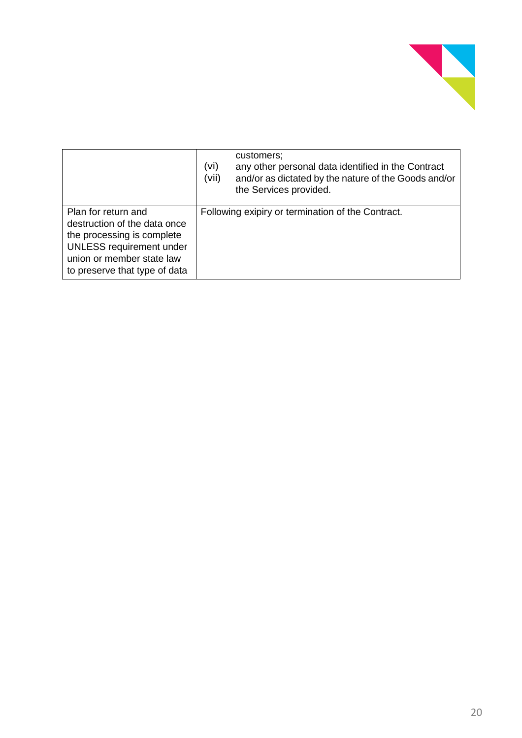

|                                                                                                                                                                                    | customers;<br>(vi)<br>any other personal data identified in the Contract<br>(vii)<br>and/or as dictated by the nature of the Goods and/or<br>the Services provided. |
|------------------------------------------------------------------------------------------------------------------------------------------------------------------------------------|---------------------------------------------------------------------------------------------------------------------------------------------------------------------|
| Plan for return and<br>destruction of the data once<br>the processing is complete<br><b>UNLESS requirement under</b><br>union or member state law<br>to preserve that type of data | Following exipiry or termination of the Contract.                                                                                                                   |